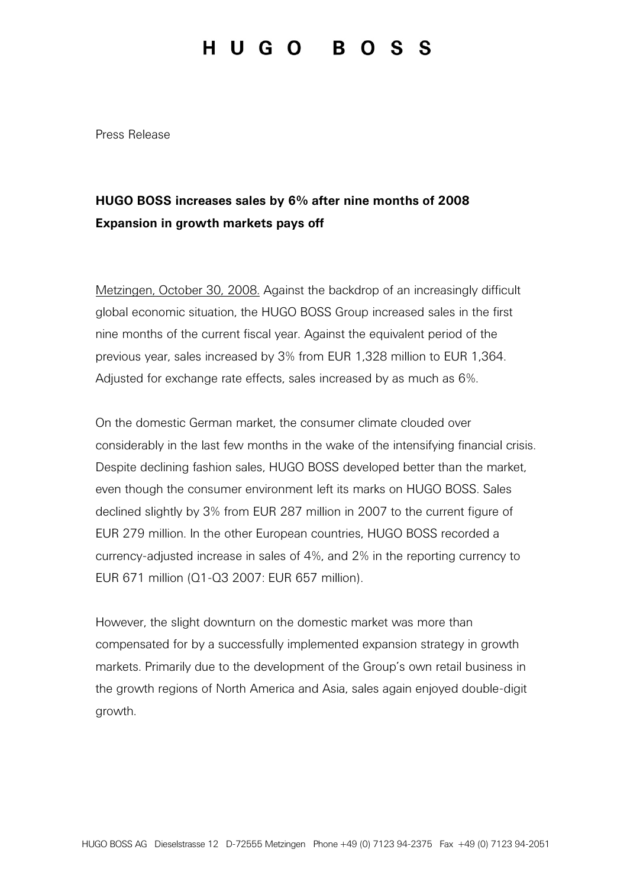## HUGO BOSS

Press Release

## HUGO BOSS increases sales by 6% after nine months of 2008 Expansion in growth markets pays off

Metzingen, October 30, 2008. Against the backdrop of an increasingly difficult global economic situation, the HUGO BOSS Group increased sales in the first nine months of the current fiscal year. Against the equivalent period of the previous year, sales increased by 3% from EUR 1,328 million to EUR 1,364. Adjusted for exchange rate effects, sales increased by as much as 6%.

On the domestic German market, the consumer climate clouded over considerably in the last few months in the wake of the intensifying financial crisis. Despite declining fashion sales, HUGO BOSS developed better than the market, even though the consumer environment left its marks on HUGO BOSS. Sales declined slightly by 3% from EUR 287 million in 2007 to the current figure of EUR 279 million. In the other European countries, HUGO BOSS recorded a currency-adjusted increase in sales of 4%, and 2% in the reporting currency to EUR 671 million (Q1-Q3 2007: EUR 657 million).

However, the slight downturn on the domestic market was more than compensated for by a successfully implemented expansion strategy in growth markets. Primarily due to the development of the Group's own retail business in the growth regions of North America and Asia, sales again enjoyed double-digit growth.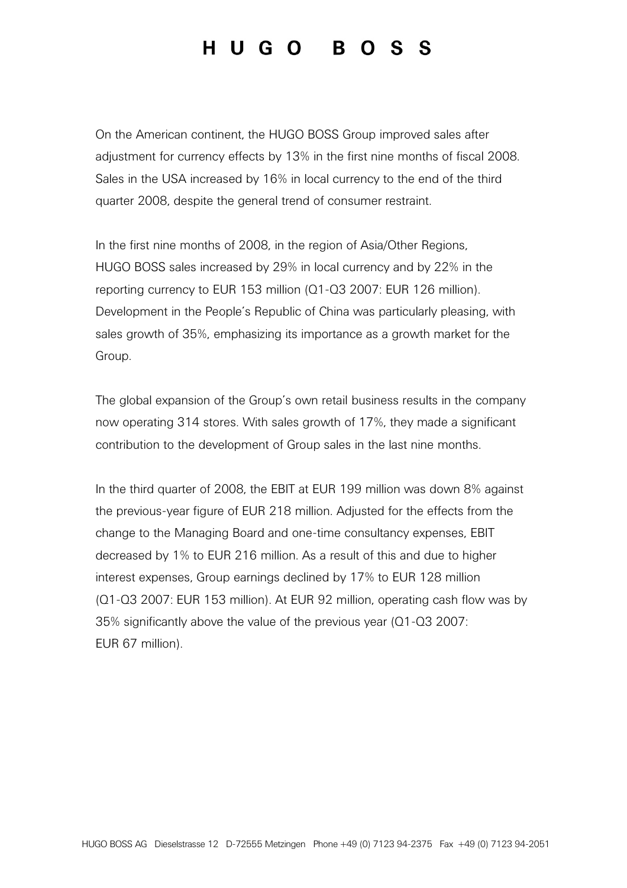## HUGO BOSS

On the American continent, the HUGO BOSS Group improved sales after adjustment for currency effects by 13% in the first nine months of fiscal 2008. Sales in the USA increased by 16% in local currency to the end of the third quarter 2008, despite the general trend of consumer restraint.

In the first nine months of 2008, in the region of Asia/Other Regions, HUGO BOSS sales increased by 29% in local currency and by 22% in the reporting currency to EUR 153 million (Q1-Q3 2007: EUR 126 million). Development in the People's Republic of China was particularly pleasing, with sales growth of 35%, emphasizing its importance as a growth market for the Group.

The global expansion of the Group's own retail business results in the company now operating 314 stores. With sales growth of 17%, they made a significant contribution to the development of Group sales in the last nine months.

In the third quarter of 2008, the EBIT at EUR 199 million was down 8% against the previous-year figure of EUR 218 million. Adjusted for the effects from the change to the Managing Board and one-time consultancy expenses, EBIT decreased by 1% to EUR 216 million. As a result of this and due to higher interest expenses, Group earnings declined by 17% to EUR 128 million (Q1-Q3 2007: EUR 153 million). At EUR 92 million, operating cash flow was by 35% significantly above the value of the previous year (Q1-Q3 2007: EUR 67 million).